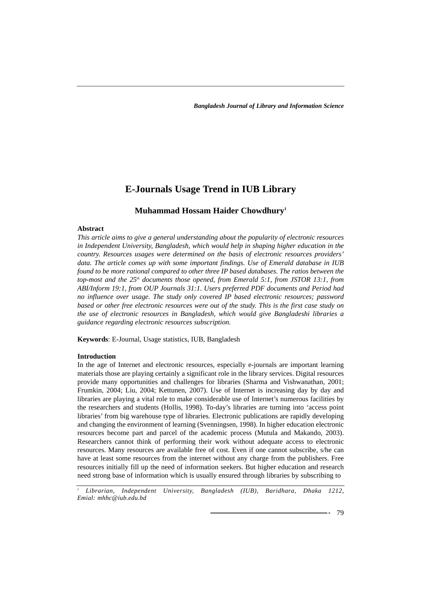# **E-Journals Usage Trend in IUB Library**

# **Muhammad Hossam Haider Chowdhury1**

# **Abstract**

*This article aims to give a general understanding about the popularity of electronic resources in Independent University, Bangladesh, which would help in shaping higher education in the country. Resources usages were determined on the basis of electronic resources providers' data. The article comes up with some important findings. Use of Emerald database in IUB found to be more rational compared to other three IP based databases. The ratios between the top-most and the 25th documents those opened, from Emerald 5:1, from JSTOR 13:1, from ABI/Inform 19:1, from OUP Journals 31:1. Users preferred PDF documents and Period had no influence over usage. The study only covered IP based electronic resources; password based or other free electronic resources were out of the study. This is the first case study on the use of electronic resources in Bangladesh, which would give Bangladeshi libraries a guidance regarding electronic resources subscription.*

**Keywords**: E-Journal, Usage statistics, IUB, Bangladesh

## **Introduction**

In the age of Internet and electronic resources, especially e-journals are important learning materials those are playing certainly a significant role in the library services. Digital resources provide many opportunities and challenges for libraries (Sharma and Vishwanathan, 2001; Frumkin, 2004; Liu, 2004; Kettunen, 2007). Use of Internet is increasing day by day and libraries are playing a vital role to make considerable use of Internet's numerous facilities by the researchers and students (Hollis, 1998). To-day's libraries are turning into 'access point libraries' from big warehouse type of libraries. Electronic publications are rapidly developing and changing the environment of learning (Svenningsen, 1998). In higher education electronic resources become part and parcel of the academic process (Mutula and Makando, 2003). Researchers cannot think of performing their work without adequate access to electronic resources. Many resources are available free of cost. Even if one cannot subscribe, s/he can have at least some resources from the internet without any charge from the publishers. Free resources initially fill up the need of information seekers. But higher education and research need strong base of information which is usually ensured through libraries by subscribing to

*<sup>1</sup> Librarian, Independent University, Bangladesh (IUB), Baridhara, Dhaka 1212, Emial: mhhc@iub.edu.bd*

- 79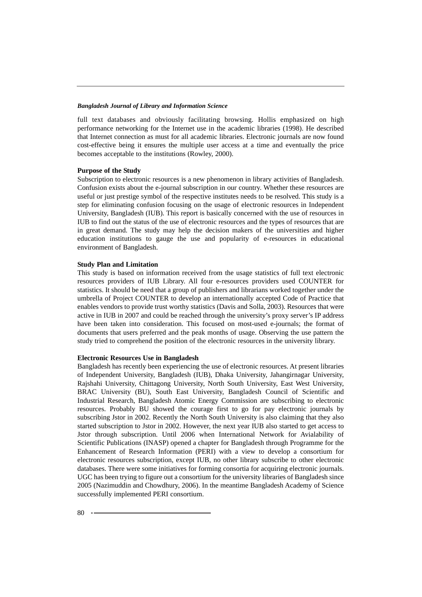full text databases and obviously facilitating browsing. Hollis emphasized on high performance networking for the Internet use in the academic libraries (1998). He described that Internet connection as must for all academic libraries. Electronic journals are now found cost-effective being it ensures the multiple user access at a time and eventually the price becomes acceptable to the institutions (Rowley, 2000).

#### **Purpose of the Study**

Subscription to electronic resources is a new phenomenon in library activities of Bangladesh. Confusion exists about the e-journal subscription in our country. Whether these resources are useful or just prestige symbol of the respective institutes needs to be resolved. This study is a step for eliminating confusion focusing on the usage of electronic resources in Independent University, Bangladesh (IUB). This report is basically concerned with the use of resources in IUB to find out the status of the use of electronic resources and the types of resources that are in great demand. The study may help the decision makers of the universities and higher education institutions to gauge the use and popularity of e-resources in educational environment of Bangladesh.

#### **Study Plan and Limitation**

This study is based on information received from the usage statistics of full text electronic resources providers of IUB Library. All four e-resources providers used COUNTER for statistics. It should be need that a group of publishers and librarians worked together under the umbrella of Project COUNTER to develop an internationally accepted Code of Practice that enables vendors to provide trust worthy statistics (Davis and Solla, 2003). Resources that were active in IUB in 2007 and could be reached through the university's proxy server's IP address have been taken into consideration. This focused on most-used e-journals; the format of documents that users preferred and the peak months of usage. Observing the use pattern the study tried to comprehend the position of the electronic resources in the university library.

## **Electronic Resources Use in Bangladesh**

Bangladesh has recently been experiencing the use of electronic resources. At present libraries of Independent University, Bangladesh (IUB), Dhaka University, Jahangirnagar University, Rajshahi University, Chittagong University, North South University, East West University, BRAC University (BU), South East University, Bangladesh Council of Scientific and Industrial Research, Bangladesh Atomic Energy Commission are subscribing to electronic resources. Probably BU showed the courage first to go for pay electronic journals by subscribing Jstor in 2002. Recently the North South University is also claiming that they also started subscription to Jstor in 2002. However, the next year IUB also started to get access to Jstor through subscription. Until 2006 when International Network for Avialability of Scientific Publications (INASP) opened a chapter for Bangladesh through Programme for the Enhancement of Research Information (PERI) with a view to develop a consortium for electronic resources subscription, except IUB, no other library subscribe to other electronic databases. There were some initiatives for forming consortia for acquiring electronic journals. UGC has been trying to figure out a consortium for the university libraries of Bangladesh since 2005 (Nazimuddin and Chowdhury, 2006). In the meantime Bangladesh Academy of Science successfully implemented PERI consortium.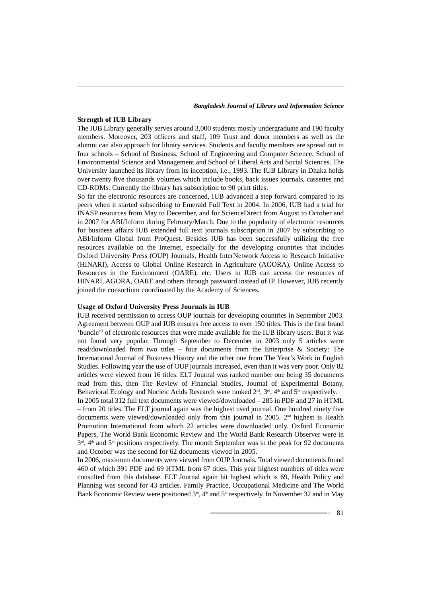# **Strength of IUB Library**

The IUB Library generally serves around 3,000 students mostly undergraduate and 190 faculty members. Moreover, 203 officers and staff, 109 Trust and donor members as well as the alumni can also approach for library services. Students and faculty members are spread out in four schools – School of Business, School of Engineering and Computer Science, School of Environmental Science and Management and School of Liberal Arts and Social Sciences. The University launched its library from its inception, i.e., 1993. The IUB Library in Dhaka holds over twenty five thousands volumes which include books, back issues journals, cassettes and CD-ROMs. Currently the library has subscription to 90 print titles.

So far the electronic resources are concerned, IUB advanced a step forward compared to its peers when it started subscribing to Emerald Full Text in 2004. In 2006, IUB had a trial for INASP resources from May to December, and for ScienceDirect from August to October and in 2007 for ABI/Inform during February/March. Due to the popularity of electronic resources for business affairs IUB extended full text journals subscription in 2007 by subscribing to ABI/Inform Global from ProQuest. Besides IUB has been successfully utilizing the free resources available on the Internet, especially for the developing countries that includes Oxford University Press (OUP) Journals, Health InterNetwork Access to Research Initiative (HINARI), Access to Global Online Research in Agriculture (AGORA), Online Access to Resources in the Environment (OARE), etc. Users in IUB can access the resources of HINARI, AGORA, OARE and others through password instead of IP. However, IUB recently joined the consortium coordinated by the Academy of Sciences.

#### **Usage of Oxford University Press Journals in IUB**

IUB received permission to access OUP journals for developing countries in September 2003. Agreement between OUP and IUB ensures free access to over 150 titles. This is the first brand 'bundle'3 of electronic resources that were made available for the IUB library users. But it was not found very popular. Through September to December in 2003 only 5 articles were read/downloaded from two titles – four documents from the Enterprise & Society: The International Journal of Business History and the other one from The Year's Work in English Studies. Following year the use of OUP journals increased, even than it was very poor. Only 82 articles were viewed from 16 titles. ELT Journal was ranked number one being 35 documents read from this, then The Review of Financial Studies, Journal of Experimental Botany, Behavioral Ecology and Nucleic Acids Research were ranked  $2<sup>nd</sup>$ ,  $3<sup>nd</sup>$ ,  $4<sup>th</sup>$  and  $5<sup>th</sup>$  respectively.

In 2005 total 312 full text documents were viewed/downloaded – 285 in PDF and 27 in HTML – from 20 titles. The ELT journal again was the highest used journal. One hundred ninety five documents were viewed/downloaded only from this journal in 2005.  $2<sup>nd</sup>$  highest is Health Promotion International from which 22 articles were downloaded only. Oxford Economic Papers, The World Bank Economic Review and The World Bank Research Observer were in  $3<sup>rd</sup>$ ,  $4<sup>th</sup>$  and  $5<sup>th</sup>$  positions respectively. The month September was in the peak for 92 documents and October was the second for 62 documents viewed in 2005.

In 2006, maximum documents were viewed from OUP Journals. Total viewed documents found 460 of which 391 PDF and 69 HTML from 67 titles. This year highest numbers of titles were consulted from this database. ELT Journal again hit highest which is 69, Health Policy and Planning was second for 43 articles. Family Practice, Occupational Medicine and The World Bank Economic Review were positioned  $3<sup>rd</sup>$ ,  $4<sup>th</sup>$  and  $5<sup>th</sup>$  respectively. In November 32 and in May

 $-81$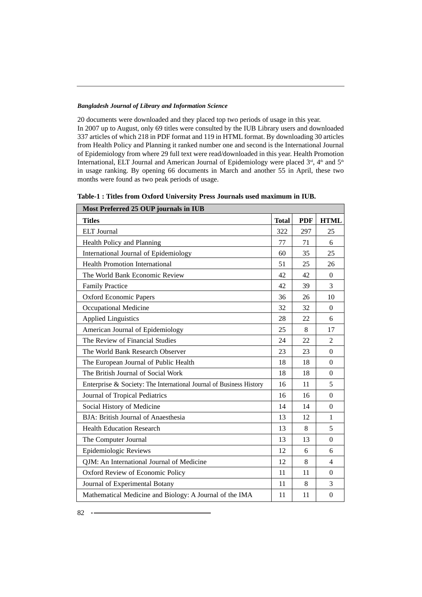20 documents were downloaded and they placed top two periods of usage in this year. In 2007 up to August, only 69 titles were consulted by the IUB Library users and downloaded 337 articles of which 218 in PDF format and 119 in HTML format. By downloading 30 articles from Health Policy and Planning it ranked number one and second is the International Journal of Epidemiology from where 29 full text were read/downloaded in this year. Health Promotion International, ELT Journal and American Journal of Epidemiology were placed  $3<sup>rd</sup>$ , 4<sup>th</sup> and 5<sup>th</sup> in usage ranking. By opening 66 documents in March and another 55 in April, these two months were found as two peak periods of usage.

| Most Preferred 25 OUP journals in IUB                               |              |            |                  |  |
|---------------------------------------------------------------------|--------------|------------|------------------|--|
| <b>Titles</b>                                                       | <b>Total</b> | <b>PDF</b> | <b>HTML</b>      |  |
| <b>ELT</b> Journal                                                  | 322          | 297        | 25               |  |
| Health Policy and Planning                                          | 77           | 71         | 6                |  |
| International Journal of Epidemiology                               | 60           | 35         | 25               |  |
| <b>Health Promotion International</b>                               | 51           | 25         | 26               |  |
| The World Bank Economic Review                                      | 42           | 42         | $\Omega$         |  |
| <b>Family Practice</b>                                              | 42           | 39         | $\overline{3}$   |  |
| Oxford Economic Papers                                              | 36           | 26         | 10               |  |
| Occupational Medicine                                               | 32           | 32         | $\Omega$         |  |
| <b>Applied Linguistics</b>                                          | 28           | 22         | 6                |  |
| American Journal of Epidemiology                                    | 25           | 8          | 17               |  |
| The Review of Financial Studies                                     | 24           | 22         | 2                |  |
| The World Bank Research Observer                                    | 23           | 23         | $\overline{0}$   |  |
| The European Journal of Public Health                               | 18           | 18         | $\Omega$         |  |
| The British Journal of Social Work                                  | 18           | 18         | $\Omega$         |  |
| Enterprise & Society: The International Journal of Business History | 16           | 11         | 5                |  |
| Journal of Tropical Pediatrics                                      | 16           | 16         | $\Omega$         |  |
| Social History of Medicine                                          | 14           | 14         | $\Omega$         |  |
| BJA: British Journal of Anaesthesia                                 | 13           | 12         | $\mathbf{1}$     |  |
| <b>Health Education Research</b>                                    | 13           | 8          | 5                |  |
| The Computer Journal                                                | 13           | 13         | $\Omega$         |  |
| Epidemiologic Reviews                                               | 12           | 6          | 6                |  |
| QJM: An International Journal of Medicine                           | 12           | 8          | $\overline{4}$   |  |
| Oxford Review of Economic Policy                                    | 11           | 11         | $\Omega$         |  |
| Journal of Experimental Botany                                      | 11           | 8          | 3                |  |
| Mathematical Medicine and Biology: A Journal of the IMA             | 11           | 11         | $\boldsymbol{0}$ |  |

**Table-1 : Titles from Oxford University Press Journals used maximum in IUB.**

 $82 - -$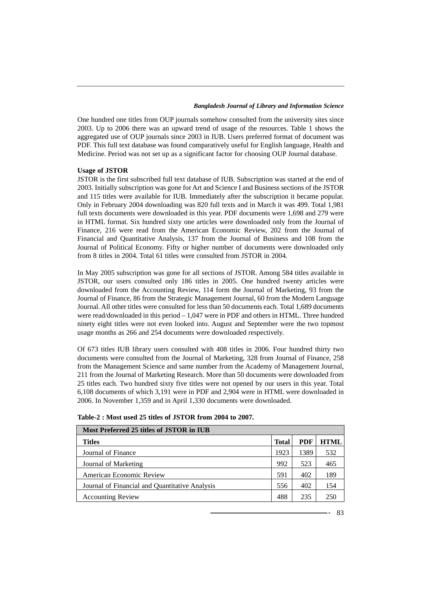One hundred one titles from OUP journals somehow consulted from the university sites since 2003. Up to 2006 there was an upward trend of usage of the resources. Table 1 shows the aggregated use of OUP journals since 2003 in IUB. Users preferred format of document was PDF. This full text database was found comparatively useful for English language, Health and Medicine. Period was not set up as a significant factor for choosing OUP Journal database.

#### **Usage of JSTOR**

JSTOR is the first subscribed full text database of IUB. Subscription was started at the end of 2003. Initially subscription was gone for Art and Science I and Business sections of the JSTOR and 115 titles were available for IUB. Immediately after the subscription it became popular. Only in February 2004 downloading was 820 full texts and in March it was 499. Total 1,981 full texts documents were downloaded in this year. PDF documents were 1,698 and 279 were in HTML format. Six hundred sixty one articles were downloaded only from the Journal of Finance, 216 were read from the American Economic Review, 202 from the Journal of Financial and Quantitative Analysis, 137 from the Journal of Business and 108 from the Journal of Political Economy. Fifty or higher number of documents were downloaded only from 8 titles in 2004. Total 61 titles were consulted from JSTOR in 2004.

In May 2005 subscription was gone for all sections of JSTOR. Among 584 titles available in JSTOR, our users consulted only 186 titles in 2005. One hundred twenty articles were downloaded from the Accounting Review, 114 form the Journal of Marketing, 93 from the Journal of Finance, 86 from the Strategic Management Journal, 60 from the Modern Language Journal. All other titles were consulted for less than 50 documents each. Total 1,689 documents were read/downloaded in this period – 1,047 were in PDF and others in HTML. Three hundred ninety eight titles were not even looked into. August and September were the two topmost usage months as 266 and 254 documents were downloaded respectively.

Of 673 titles IUB library users consulted with 408 titles in 2006. Four hundred thirty two documents were consulted from the Journal of Marketing, 328 from Journal of Finance, 258 from the Management Science and same number from the Academy of Management Journal, 211 from the Journal of Marketing Research. More than 50 documents were downloaded from 25 titles each. Two hundred sixty five titles were not opened by our users in this year. Total 6,108 documents of which 3,191 were in PDF and 2,904 were in HTML were downloaded in 2006. In November 1,359 and in April 1,330 documents were downloaded.

| Most Preferred 25 titles of JSTOR in IUB       |              |      |       |  |
|------------------------------------------------|--------------|------|-------|--|
| <b>Titles</b>                                  | <b>Total</b> | PDF  | HTML. |  |
| Journal of Finance                             | 1923         | 1389 | 532   |  |
| Journal of Marketing                           | 992          | 523  | 465   |  |
| American Economic Review                       | 591          | 402  | 189   |  |
| Journal of Financial and Quantitative Analysis | 556          | 402  | 154   |  |
| <b>Accounting Review</b>                       | 488          | 235  | 250   |  |

**Table-2 : Most used 25 titles of JSTOR from 2004 to 2007.**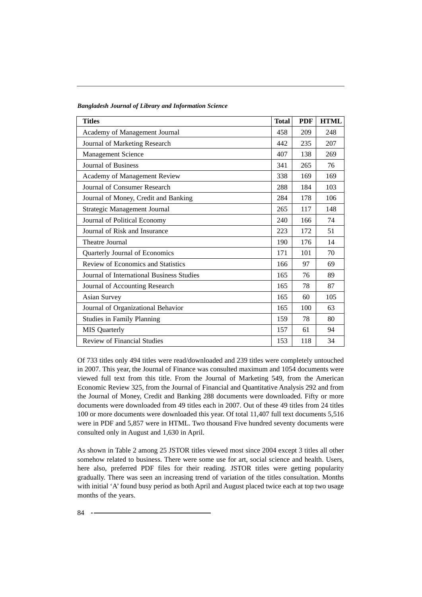| <b>Titles</b>                             | <b>Total</b> | <b>PDF</b> | <b>HTML</b> |
|-------------------------------------------|--------------|------------|-------------|
| Academy of Management Journal             | 458          | 209        | 248         |
| Journal of Marketing Research             | 442          | 235        | 207         |
| Management Science                        | 407          | 138        | 269         |
| Journal of Business                       | 341          | 265        | 76          |
| Academy of Management Review              | 338          | 169        | 169         |
| Journal of Consumer Research              | 288          | 184        | 103         |
| Journal of Money, Credit and Banking      | 284          | 178        | 106         |
| Strategic Management Journal              | 265          | 117        | 148         |
| Journal of Political Economy              | 240          | 166        | 74          |
| Journal of Risk and Insurance             | 223          | 172        | 51          |
| Theatre Journal                           | 190          | 176        | 14          |
| Quarterly Journal of Economics            | 171          | 101        | 70          |
| Review of Economics and Statistics        | 166          | 97         | 69          |
| Journal of International Business Studies | 165          | 76         | 89          |
| Journal of Accounting Research            | 165          | 78         | 87          |
| <b>Asian Survey</b>                       | 165          | 60         | 105         |
| Journal of Organizational Behavior        | 165          | 100        | 63          |
| <b>Studies in Family Planning</b>         | 159          | 78         | 80          |
| <b>MIS</b> Quarterly                      | 157          | 61         | 94          |
| Review of Financial Studies               | 153          | 118        | 34          |

Of 733 titles only 494 titles were read/downloaded and 239 titles were completely untouched in 2007. This year, the Journal of Finance was consulted maximum and 1054 documents were viewed full text from this title. From the Journal of Marketing 549, from the American Economic Review 325, from the Journal of Financial and Quantitative Analysis 292 and from the Journal of Money, Credit and Banking 288 documents were downloaded. Fifty or more documents were downloaded from 49 titles each in 2007. Out of these 49 titles from 24 titles 100 or more documents were downloaded this year. Of total 11,407 full text documents 5,516 were in PDF and 5,857 were in HTML. Two thousand Five hundred seventy documents were consulted only in August and 1,630 in April.

As shown in Table 2 among 25 JSTOR titles viewed most since 2004 except 3 titles all other somehow related to business. There were some use for art, social science and health. Users, here also, preferred PDF files for their reading. JSTOR titles were getting popularity gradually. There was seen an increasing trend of variation of the titles consultation. Months with initial 'A' found busy period as both April and August placed twice each at top two usage months of the years.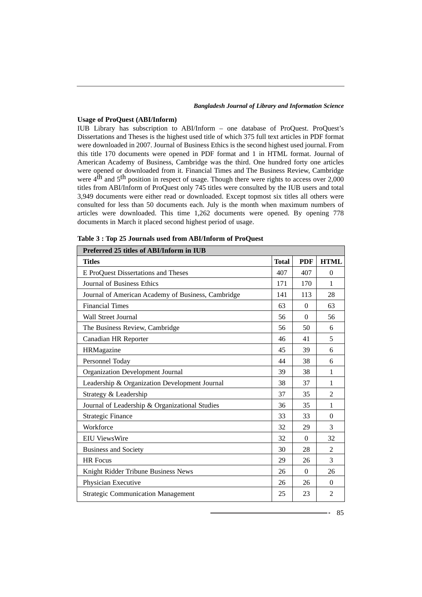# **Usage of ProQuest (ABI/Inform)**

IUB Library has subscription to ABI/Inform – one database of ProQuest. ProQuest's Dissertations and Theses is the highest used title of which 375 full text articles in PDF format were downloaded in 2007. Journal of Business Ethics is the second highest used journal. From this title 170 documents were opened in PDF format and 1 in HTML format. Journal of American Academy of Business, Cambridge was the third. One hundred forty one articles were opened or downloaded from it. Financial Times and The Business Review, Cambridge were 4<sup>th</sup> and 5<sup>th</sup> position in respect of usage. Though there were rights to access over 2,000 titles from ABI/Inform of ProQuest only 745 titles were consulted by the IUB users and total 3,949 documents were either read or downloaded. Except topmost six titles all others were consulted for less than 50 documents each. July is the month when maximum numbers of articles were downloaded. This time 1,262 documents were opened. By opening 778 documents in March it placed second highest period of usage.

| Preferred 25 titles of ABI/Inform in IUB           |              |            |                |  |
|----------------------------------------------------|--------------|------------|----------------|--|
| <b>Titles</b>                                      | <b>Total</b> | <b>PDF</b> | <b>HTML</b>    |  |
| E ProQuest Dissertations and Theses                | 407          | 407        | $\theta$       |  |
| <b>Journal of Business Ethics</b>                  | 171          | 170        | 1              |  |
| Journal of American Academy of Business, Cambridge | 141          | 113        | 28             |  |
| <b>Financial Times</b>                             | 63           | $\Omega$   | 63             |  |
| <b>Wall Street Journal</b>                         | 56           | $\Omega$   | 56             |  |
| The Business Review, Cambridge                     | 56           | 50         | 6              |  |
| Canadian HR Reporter                               | 46           | 41         | 5              |  |
| HRMagazine                                         | 45           | 39         | 6              |  |
| Personnel Today                                    | 44           | 38         | 6              |  |
| Organization Development Journal                   | 39           | 38         | 1              |  |
| Leadership & Organization Development Journal      | 38           | 37         | 1              |  |
| Strategy & Leadership                              | 37           | 35         | $\overline{2}$ |  |
| Journal of Leadership & Organizational Studies     | 36           | 35         | 1              |  |
| <b>Strategic Finance</b>                           | 33           | 33         | $\Omega$       |  |
| Workforce                                          | 32           | 29         | 3              |  |
| <b>EIU ViewsWire</b>                               | 32           | $\Omega$   | 32             |  |
| <b>Business and Society</b>                        | 30           | 28         | $\mathfrak{D}$ |  |
| <b>HR Focus</b>                                    | 29           | 26         | 3              |  |
| Knight Ridder Tribune Business News                | 26           | $\Omega$   | 26             |  |
| Physician Executive                                | 26           | 26         | $\Omega$       |  |
| <b>Strategic Communication Management</b>          | 25           | 23         | $\overline{2}$ |  |

|  |  | Table 3: Top 25 Journals used from ABI/Inform of ProQuest |  |
|--|--|-----------------------------------------------------------|--|
|--|--|-----------------------------------------------------------|--|

85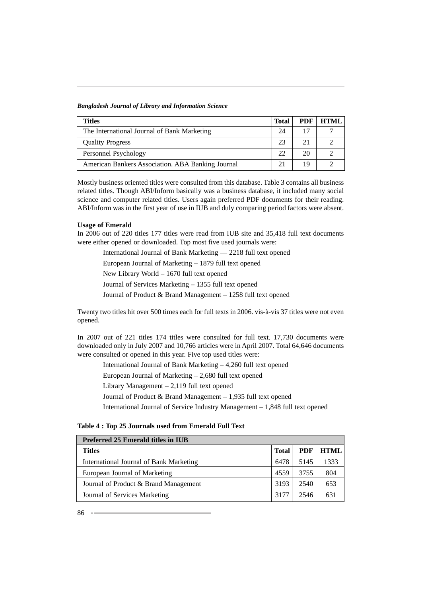| Titles                                            | <b>Total</b> | PDF | HTML |
|---------------------------------------------------|--------------|-----|------|
| The International Journal of Bank Marketing       | 24           | 17  |      |
| <b>Quality Progress</b>                           | 23           | 21  |      |
| Personnel Psychology                              | 22           | 20  |      |
| American Bankers Association. ABA Banking Journal |              | 19  |      |

Mostly business oriented titles were consulted from this database. Table 3 contains all business related titles. Though ABI/Inform basically was a business database, it included many social science and computer related titles. Users again preferred PDF documents for their reading. ABI/Inform was in the first year of use in IUB and duly comparing period factors were absent.

## **Usage of Emerald**

In 2006 out of 220 titles 177 titles were read from IUB site and 35,418 full text documents were either opened or downloaded. Top most five used journals were:

International Journal of Bank Marketing — 2218 full text opened

European Journal of Marketing – 1879 full text opened

New Library World – 1670 full text opened

Journal of Services Marketing – 1355 full text opened

Journal of Product & Brand Management – 1258 full text opened

Twenty two titles hit over 500 times each for full texts in 2006. vis-à-vis 37 titles were not even opened.

In 2007 out of 221 titles 174 titles were consulted for full text. 17,730 documents were downloaded only in July 2007 and 10,766 articles were in April 2007. Total 64,646 documents were consulted or opened in this year. Five top used titles were:

International Journal of Bank Marketing – 4,260 full text opened

European Journal of Marketing – 2,680 full text opened

Library Management – 2,119 full text opened

Journal of Product & Brand Management – 1,935 full text opened

International Journal of Service Industry Management – 1,848 full text opened

| Preferred 25 Emerald titles in IUB      |              |      |             |  |
|-----------------------------------------|--------------|------|-------------|--|
| <b>Titles</b>                           | <b>Total</b> | PDF  | <b>HTML</b> |  |
| International Journal of Bank Marketing | 6478         | 5145 | 1333        |  |
| European Journal of Marketing           | 4559         | 3755 | 804         |  |
| Journal of Product & Brand Management   | 3193         | 2540 | 653         |  |
| Journal of Services Marketing           | 3177         | 2546 | 631         |  |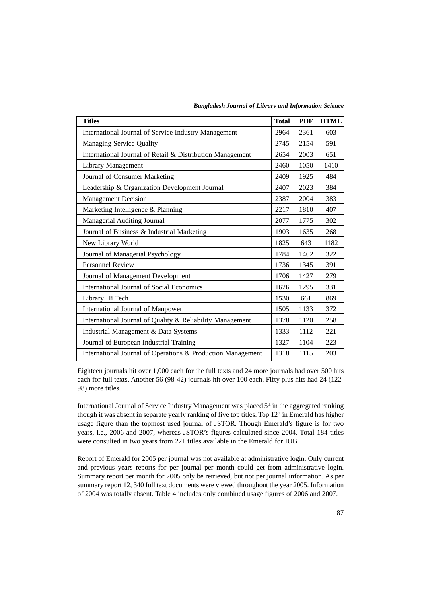| <b>Titles</b>                                               | <b>Total</b> | <b>PDF</b> | <b>HTML</b> |
|-------------------------------------------------------------|--------------|------------|-------------|
| International Journal of Service Industry Management        | 2964         | 2361       | 603         |
| Managing Service Quality                                    | 2745         | 2154       | 591         |
| International Journal of Retail & Distribution Management   | 2654         | 2003       | 651         |
| <b>Library Management</b>                                   | 2460         | 1050       | 1410        |
| Journal of Consumer Marketing                               | 2409         | 1925       | 484         |
| Leadership & Organization Development Journal               | 2407         | 2023       | 384         |
| <b>Management Decision</b>                                  | 2387         | 2004       | 383         |
| Marketing Intelligence & Planning                           | 2217         | 1810       | 407         |
| Managerial Auditing Journal                                 | 2077         | 1775       | 302         |
| Journal of Business & Industrial Marketing                  | 1903         | 1635       | 268         |
| New Library World                                           | 1825         | 643        | 1182        |
| Journal of Managerial Psychology                            | 1784         | 1462       | 322         |
| <b>Personnel Review</b>                                     | 1736         | 1345       | 391         |
| Journal of Management Development                           | 1706         | 1427       | 279         |
| International Journal of Social Economics                   | 1626         | 1295       | 331         |
| Library Hi Tech                                             | 1530         | 661        | 869         |
| International Journal of Manpower                           | 1505         | 1133       | 372         |
| International Journal of Quality & Reliability Management   |              | 1120       | 258         |
| Industrial Management & Data Systems                        |              | 1112       | 221         |
| Journal of European Industrial Training                     | 1327         | 1104       | 223         |
| International Journal of Operations & Production Management | 1318         | 1115       | 203         |

*Bangladesh Journal of Library and Information Science*

Eighteen journals hit over 1,000 each for the full texts and 24 more journals had over 500 hits each for full texts. Another 56 (98-42) journals hit over 100 each. Fifty plus hits had 24 (122- 98) more titles.

International Journal of Service Industry Management was placed  $5<sup>th</sup>$  in the aggregated ranking though it was absent in separate yearly ranking of five top titles. Top  $12<sup>th</sup>$  in Emerald has higher usage figure than the topmost used journal of JSTOR. Though Emerald's figure is for two years, i.e., 2006 and 2007, whereas JSTOR's figures calculated since 2004. Total 184 titles were consulted in two years from 221 titles available in the Emerald for IUB.

Report of Emerald for 2005 per journal was not available at administrative login. Only current and previous years reports for per journal per month could get from administrative login. Summary report per month for 2005 only be retrieved, but not per journal information. As per summary report 12, 340 full text documents were viewed throughout the year 2005. Information of 2004 was totally absent. Table 4 includes only combined usage figures of 2006 and 2007.

 $-87$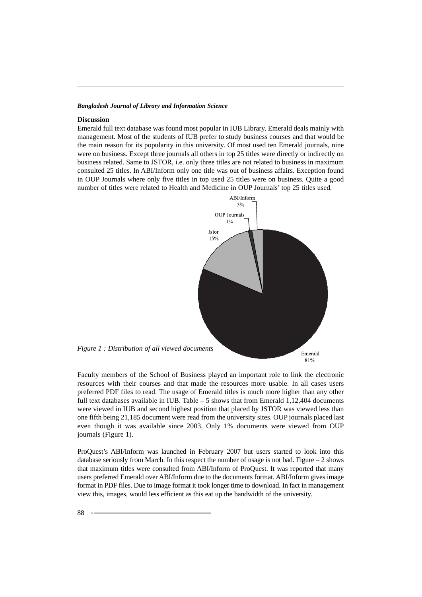# **Discussion**

Emerald full text database was found most popular in IUB Library. Emerald deals mainly with management. Most of the students of IUB prefer to study business courses and that would be the main reason for its popularity in this university. Of most used ten Emerald journals, nine were on business. Except three journals all others in top 25 titles were directly or indirectly on business related. Same to JSTOR, i.e. only three titles are not related to business in maximum consulted 25 titles. In ABI/Inform only one title was out of business affairs. Exception found in OUP Journals where only five titles in top used 25 titles were on business. Quite a good number of titles were related to Health and Medicine in OUP Journals' top 25 titles used.



Faculty members of the School of Business played an important role to link the electronic resources with their courses and that made the resources more usable. In all cases users preferred PDF files to read. The usage of Emerald titles is much more higher than any other full text databases available in IUB. Table  $-5$  shows that from Emerald 1,12,404 documents were viewed in IUB and second highest position that placed by JSTOR was viewed less than one fifth being 21,185 document were read from the university sites. OUP journals placed last even though it was available since 2003. Only 1% documents were viewed from OUP journals (Figure 1).

ProQuest's ABI/Inform was launched in February 2007 but users started to look into this database seriously from March. In this respect the number of usage is not bad. Figure – 2 shows that maximum titles were consulted from ABI/Inform of ProQuest. It was reported that many users preferred Emerald over ABI/Inform due to the documents format. ABI/Inform gives image format in PDF files. Due to image format it took longer time to download. In fact in management view this, images, would less efficient as this eat up the bandwidth of the university.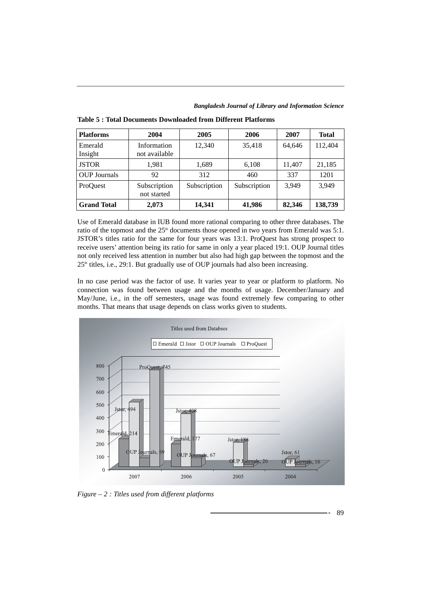| <b>Platforms</b>    | 2004                         | 2005         | 2006         | 2007   | Total   |
|---------------------|------------------------------|--------------|--------------|--------|---------|
| Emerald<br>Insight  | Information<br>not available | 12,340       | 35,418       | 64,646 | 112,404 |
| <b>JSTOR</b>        | 1,981                        | 1,689        | 6,108        | 11,407 | 21,185  |
| <b>OUP Journals</b> | 92                           | 312          | 460          | 337    | 1201    |
| ProQuest            | Subscription<br>not started  | Subscription | Subscription | 3.949  | 3.949   |
| <b>Grand Total</b>  | 2,073                        | 14,341       | 41,986       | 82,346 | 138,739 |

**Table 5 : Total Documents Downloaded from Different Platforms**

Use of Emerald database in IUB found more rational comparing to other three databases. The ratio of the topmost and the  $25<sup>th</sup>$  documents those opened in two years from Emerald was 5:1. JSTOR's titles ratio for the same for four years was 13:1. ProQuest has strong prospect to receive users' attention being its ratio for same in only a year placed 19:1. OUP Journal titles not only received less attention in number but also had high gap between the topmost and the  $25<sup>th</sup>$  titles, i.e., 29:1. But gradually use of OUP journals had also been increasing.

In no case period was the factor of use. It varies year to year or platform to platform. No connection was found between usage and the months of usage. December/January and May/June, i.e., in the off semesters, usage was found extremely few comparing to other months. That means that usage depends on class works given to students.



*Figure – 2 : Titles used from different platforms*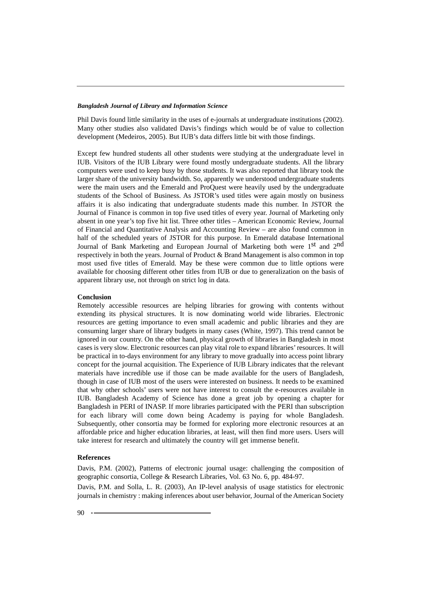Phil Davis found little similarity in the uses of e-journals at undergraduate institutions (2002). Many other studies also validated Davis's findings which would be of value to collection development (Medeiros, 2005). But IUB's data differs little bit with those findings.

Except few hundred students all other students were studying at the undergraduate level in IUB. Visitors of the IUB Library were found mostly undergraduate students. All the library computers were used to keep busy by those students. It was also reported that library took the larger share of the university bandwidth. So, apparently we understood undergraduate students were the main users and the Emerald and ProQuest were heavily used by the undergraduate students of the School of Business. As JSTOR's used titles were again mostly on business affairs it is also indicating that undergraduate students made this number. In JSTOR the Journal of Finance is common in top five used titles of every year. Journal of Marketing only absent in one year's top five hit list. Three other titles – American Economic Review, Journal of Financial and Quantitative Analysis and Accounting Review – are also found common in half of the scheduled years of JSTOR for this purpose. In Emerald database International Journal of Bank Marketing and European Journal of Marketing both were 1<sup>st</sup> and 2<sup>nd</sup> respectively in both the years. Journal of Product & Brand Management is also common in top most used five titles of Emerald. May be these were common due to little options were available for choosing different other titles from IUB or due to generalization on the basis of apparent library use, not through on strict log in data.

#### **Conclusion**

Remotely accessible resources are helping libraries for growing with contents without extending its physical structures. It is now dominating world wide libraries. Electronic resources are getting importance to even small academic and public libraries and they are consuming larger share of library budgets in many cases (White, 1997). This trend cannot be ignored in our country. On the other hand, physical growth of libraries in Bangladesh in most cases is very slow. Electronic resources can play vital role to expand libraries' resources. It will be practical in to-days environment for any library to move gradually into access point library concept for the journal acquisition. The Experience of IUB Library indicates that the relevant materials have incredible use if those can be made available for the users of Bangladesh, though in case of IUB most of the users were interested on business. It needs to be examined that why other schools' users were not have interest to consult the e-resources available in IUB. Bangladesh Academy of Science has done a great job by opening a chapter for Bangladesh in PERI of INASP. If more libraries participated with the PERI than subscription for each library will come down being Academy is paying for whole Bangladesh. Subsequently, other consortia may be formed for exploring more electronic resources at an affordable price and higher education libraries, at least, will then find more users. Users will take interest for research and ultimately the country will get immense benefit.

## **References**

Davis, P.M. (2002), Patterns of electronic journal usage: challenging the composition of geographic consortia, College & Research Libraries, Vol. 63 No. 6, pp. 484-97.

Davis, P.M. and Solla, L. R. (2003), An IP-level analysis of usage statistics for electronic journals in chemistry : making inferences about user behavior, Journal of the American Society

 $90 - -$